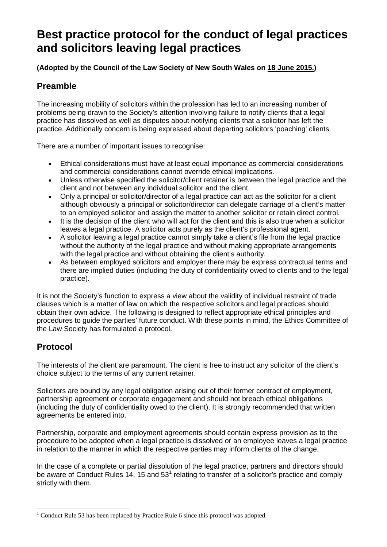## **Best practice protocol for the conduct of legal practices and solicitors leaving legal practices**

**(Adopted by the Council of the Law Society of New South Wales on 18 June 2015.)**

## **Preamble**

The increasing mobility of solicitors within the profession has led to an increasing number of problems being drawn to the Society's attention involving failure to notify clients that a legal practice has dissolved as well as disputes about notifying clients that a solicitor has left the practice. Additionally concern is being expressed about departing solicitors 'poaching' clients.

There are a number of important issues to recognise:

- Ethical considerations must have at least equal importance as commercial considerations and commercial considerations cannot override ethical implications.
- Unless otherwise specified the solicitor/client retainer is between the legal practice and the client and not between any individual solicitor and the client.
- Only a principal or solicitor/director of a legal practice can act as the solicitor for a client although obviously a principal or solicitor/director can delegate carriage of a client's matter to an employed solicitor and assign the matter to another solicitor or retain direct control.
- It is the decision of the client who will act for the client and this is also true when a solicitor leaves a legal practice. A solicitor acts purely as the client's professional agent.
- A solicitor leaving a legal practice cannot simply take a client's file from the legal practice without the authority of the legal practice and without making appropriate arrangements with the legal practice and without obtaining the client's authority.
- As between employed solicitors and employer there may be express contractual terms and there are implied duties (including the duty of confidentiality owed to clients and to the legal practice).

It is not the Society's function to express a view about the validity of individual restraint of trade clauses which is a matter of law on which the respective solicitors and legal practices should obtain their own advice. The following is designed to reflect appropriate ethical principles and procedures to guide the parties' future conduct. With these points in mind, the Ethics Committee of the Law Society has formulated a protocol.

## **Protocol**

The interests of the client are paramount. The client is free to instruct any solicitor of the client's choice subject to the terms of any current retainer.

Solicitors are bound by any legal obligation arising out of their former contract of employment, partnership agreement or corporate engagement and should not breach ethical obligations (including the duty of confidentiality owed to the client). It is strongly recommended that written agreements be entered into.

Partnership, corporate and employment agreements should contain express provision as to the procedure to be adopted when a legal practice is dissolved or an employee leaves a legal practice in relation to the manner in which the respective parties may inform clients of the change.

In the case of a complete or partial dissolution of the legal practice, partners and directors should be aware of Conduct Rules [1](#page-0-0)4, 15 and  $53<sup>1</sup>$  relating to transfer of a solicitor's practice and comply strictly with them.

<span id="page-0-0"></span> $1$  Conduct Rule 53 has been replaced by Practice Rule 6 since this protocol was adopted.